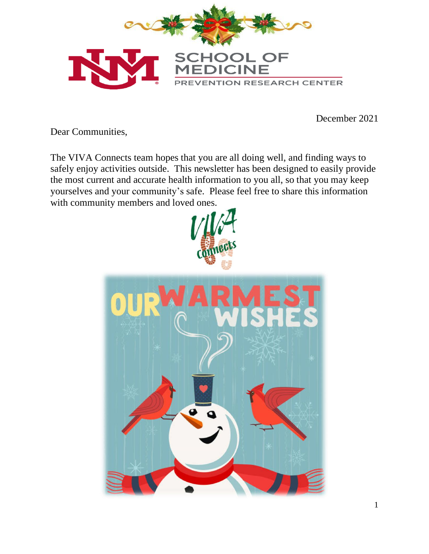

December 2021

Dear Communities,

The VIVA Connects team hopes that you are all doing well, and finding ways to safely enjoy activities outside. This newsletter has been designed to easily provide the most current and accurate health information to you all, so that you may keep yourselves and your community's safe. Please feel free to share this information with community members and loved ones.

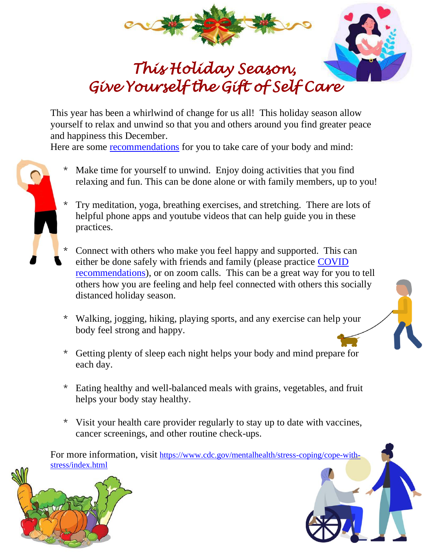



## *This Holiday Season, Give Yourself the Gift of Self Care*

This year has been a whirlwind of change for us all! This holiday season allow yourself to relax and unwind so that you and others around you find greater peace and happiness this December.

Here are some [recommendations](https://www.cdc.gov/mentalhealth/stress-coping/cope-with-stress/index.html) for you to take care of your body and mind:

- 
- Make time for yourself to unwind. Enjoy doing activities that you find relaxing and fun. This can be done alone or with family members, up to you!
- \* Try meditation, yoga, breathing exercises, and stretching. There are lots of helpful phone apps and youtube videos that can help guide you in these practices.
- \* Connect with others who make you feel happy and supported. This can either be done safely with friends and family (please practice [COVID](file:///C:/Users/LFimbel/Downloads/cdc.gov/coronavirus/2019-ncov/prevent-getting-sick/prevention.html)  [recommendations\)](file:///C:/Users/LFimbel/Downloads/cdc.gov/coronavirus/2019-ncov/prevent-getting-sick/prevention.html), or on zoom calls. This can be a great way for you to tell others how you are feeling and help feel connected with others this socially distanced holiday season.
- \* Walking, jogging, hiking, playing sports, and any exercise can help your body feel strong and happy.
- \* Getting plenty of sleep each night helps your body and mind prepare for each day.
- \* Eating healthy and well-balanced meals with grains, vegetables, and fruit helps your body stay healthy.
- \* Visit your health care provider regularly to stay up to date with vaccines, cancer screenings, and other routine check-ups.

For more information, visit [https://www.cdc.gov/mentalhealth/stress-coping/cope-with](https://www.cdc.gov/mentalhealth/stress-coping/cope-with-stress/index.html)[stress/index.html](https://www.cdc.gov/mentalhealth/stress-coping/cope-with-stress/index.html)



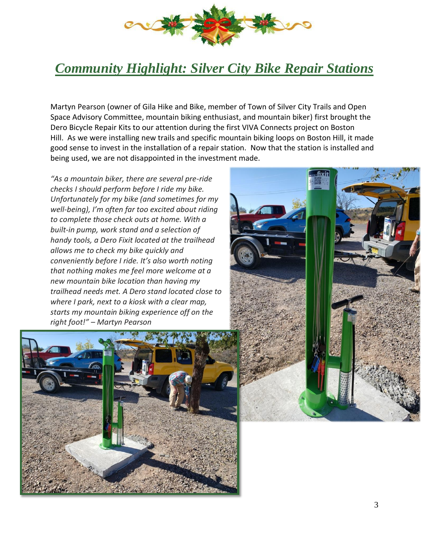

## *Community Highlight: Silver City Bike Repair Stations*

Martyn Pearson (owner of Gila Hike and Bike, member of Town of Silver City Trails and Open Space Advisory Committee, mountain biking enthusiast, and mountain biker) first brought the Dero Bicycle Repair Kits to our attention during the first VIVA Connects project on Boston Hill. As we were installing new trails and specific mountain biking loops on Boston Hill, it made good sense to invest in the installation of a repair station. Now that the station is installed and being used, we are not disappointed in the investment made.

*"As a mountain biker, there are several pre-ride checks I should perform before I ride my bike. Unfortunately for my bike (and sometimes for my well-being), I'm often far too excited about riding to complete those check outs at home. With a built-in pump, work stand and a selection of handy tools, a Dero Fixit located at the trailhead allows me to check my bike quickly and conveniently before I ride. It's also worth noting that nothing makes me feel more welcome at a new mountain bike location than having my trailhead needs met. A Dero stand located close to where I park, next to a kiosk with a clear map, starts my mountain biking experience off on the right foot!" – Martyn Pearson*